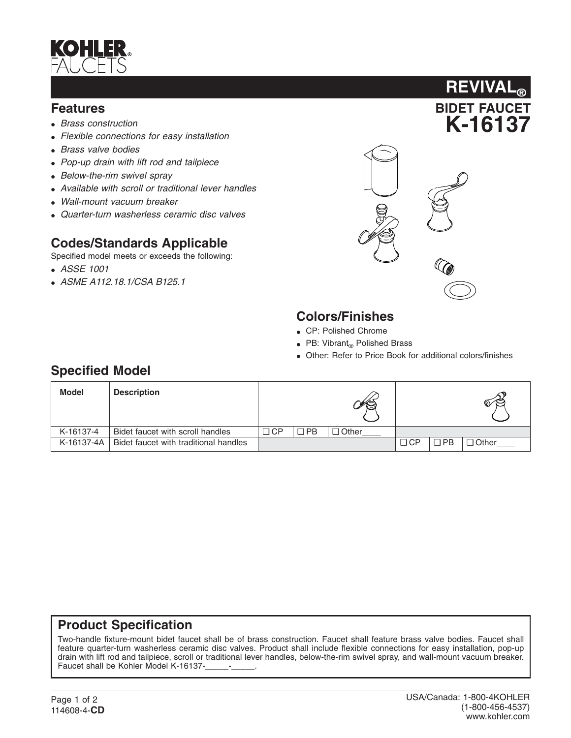

#### **Features**

- *Brass construction*
- *Flexible connections for easy installation*
- *Brass valve bodies*
- *Pop-up drain with lift rod and tailpiece*
- *Below-the-rim swivel spray*
- *Available with scroll or traditional lever handles*
- *Wall-mount vacuum breaker*
- *Quarter-turn washerless ceramic disc valves*

### **Codes/Standards Applicable**

Specified model meets or exceeds the following:

- *ASSE 1001*
- *ASME A112.18.1/CSA B125.1*



**BIDET FAUCET**

**REVIVAL®**

## **Colors/Finishes**

- CP: Polished Chrome
- PB: Vibrant $_{\text{R}}$  Polished Brass
- Other: Refer to Price Book for additional colors/finishes

### **Specified Model**

| <b>Model</b> | <b>Description</b>                    |           |     | ¥Š,          |           |            | $\mathbb{C} \subset \mathbb{C}$ |
|--------------|---------------------------------------|-----------|-----|--------------|-----------|------------|---------------------------------|
| K-16137-4    | Bidet faucet with scroll handles      | $\Box$ CP | ר E | $\Box$ Other |           |            |                                 |
| K-16137-4A   | Bidet faucet with traditional handles |           |     |              | $\Box$ CP | <b>DPB</b> | ⊒ Other                         |

#### **Product Specification**

Two-handle fixture-mount bidet faucet shall be of brass construction. Faucet shall feature brass valve bodies. Faucet shall feature quarter-turn washerless ceramic disc valves. Product shall include flexible connections for easy installation, pop-up drain with lift rod and tailpiece, scroll or traditional lever handles, below-the-rim swivel spray, and wall-mount vacuum breaker. Faucet shall be Kohler Model K-16137-